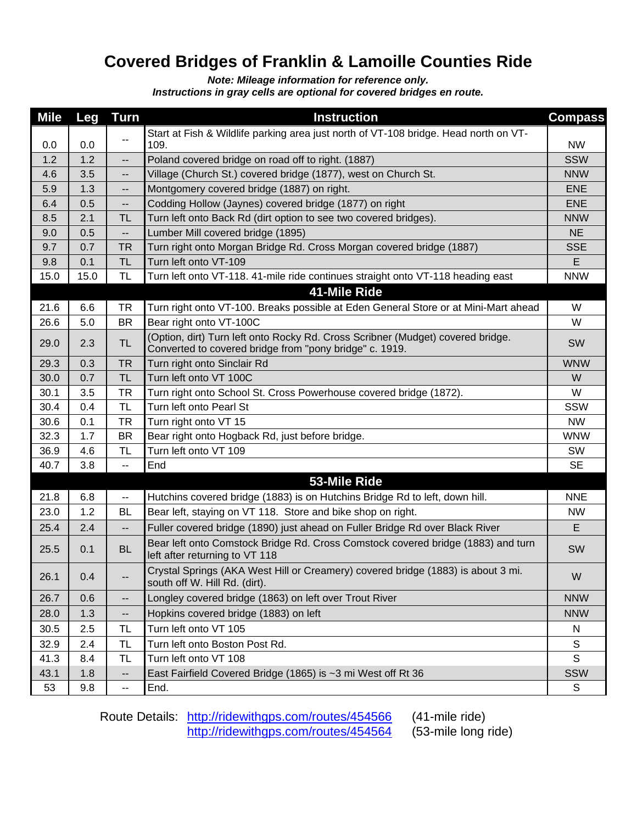## **Covered Bridges of Franklin & Lamoille Counties Ride**

*Note: Mileage information for reference only.*

*Instructions in gray cells are optional for covered bridges en route.*

| <b>Mile</b> | <b>Leg</b> | <b>Turn</b>              | <b>Instruction</b>                                                                                                                         | <b>Compass</b> |
|-------------|------------|--------------------------|--------------------------------------------------------------------------------------------------------------------------------------------|----------------|
|             |            |                          | Start at Fish & Wildlife parking area just north of VT-108 bridge. Head north on VT-                                                       |                |
| 0.0         | 0.0        | ۰.                       | 109.                                                                                                                                       | <b>NW</b>      |
| 1.2         | 1.2        | --                       | Poland covered bridge on road off to right. (1887)                                                                                         | <b>SSW</b>     |
| 4.6         | 3.5        | $\overline{\phantom{a}}$ | Village (Church St.) covered bridge (1877), west on Church St.                                                                             | <b>NNW</b>     |
| 5.9         | 1.3        | --                       | Montgomery covered bridge (1887) on right.                                                                                                 | <b>ENE</b>     |
| 6.4         | 0.5        | --                       | Codding Hollow (Jaynes) covered bridge (1877) on right                                                                                     | <b>ENE</b>     |
| 8.5         | 2.1        | TL                       | Turn left onto Back Rd (dirt option to see two covered bridges).                                                                           | <b>NNW</b>     |
| 9.0         | 0.5        | --                       | Lumber Mill covered bridge (1895)                                                                                                          | <b>NE</b>      |
| 9.7         | 0.7        | <b>TR</b>                | Turn right onto Morgan Bridge Rd. Cross Morgan covered bridge (1887)                                                                       | <b>SSE</b>     |
| 9.8         | 0.1        | <b>TL</b>                | Turn left onto VT-109                                                                                                                      | E              |
| 15.0        | 15.0       | <b>TL</b>                | Turn left onto VT-118. 41-mile ride continues straight onto VT-118 heading east                                                            | <b>NNW</b>     |
|             |            |                          | 41-Mile Ride                                                                                                                               |                |
| 21.6        | 6.6        | <b>TR</b>                | Turn right onto VT-100. Breaks possible at Eden General Store or at Mini-Mart ahead                                                        | W              |
| 26.6        | 5.0        | <b>BR</b>                | Bear right onto VT-100C                                                                                                                    | W              |
| 29.0        | 2.3        | TL                       | (Option, dirt) Turn left onto Rocky Rd. Cross Scribner (Mudget) covered bridge.<br>Converted to covered bridge from "pony bridge" c. 1919. | SW             |
| 29.3        | 0.3        | <b>TR</b>                | Turn right onto Sinclair Rd                                                                                                                | <b>WNW</b>     |
| 30.0        | 0.7        | TL                       | Turn left onto VT 100C                                                                                                                     | W              |
| 30.1        | 3.5        | TR                       | Turn right onto School St. Cross Powerhouse covered bridge (1872).                                                                         | W              |
| 30.4        | 0.4        | <b>TL</b>                | Turn left onto Pearl St                                                                                                                    | SSW            |
| 30.6        | 0.1        | <b>TR</b>                | Turn right onto VT 15                                                                                                                      | <b>NW</b>      |
| 32.3        | 1.7        | BR                       | Bear right onto Hogback Rd, just before bridge.                                                                                            | <b>WNW</b>     |
| 36.9        | 4.6        | <b>TL</b>                | Turn left onto VT 109                                                                                                                      | SW             |
| 40.7        | 3.8        | --                       | End                                                                                                                                        | <b>SE</b>      |
|             |            |                          | 53-Mile Ride                                                                                                                               |                |
| 21.8        | 6.8        | --                       | Hutchins covered bridge (1883) is on Hutchins Bridge Rd to left, down hill.                                                                | <b>NNE</b>     |
| 23.0        | 1.2        | <b>BL</b>                | Bear left, staying on VT 118. Store and bike shop on right.                                                                                | <b>NW</b>      |
| 25.4        | 2.4        | --                       | Fuller covered bridge (1890) just ahead on Fuller Bridge Rd over Black River                                                               | E              |
| 25.5        | 0.1        | <b>BL</b>                | Bear left onto Comstock Bridge Rd. Cross Comstock covered bridge (1883) and turn<br>left after returning to VT 118                         | SW             |
| 26.1        | 0.4        | $\overline{\phantom{a}}$ | Crystal Springs (AKA West Hill or Creamery) covered bridge (1883) is about 3 mi.<br>south off W. Hill Rd. (dirt).                          | W              |
| 26.7        | 0.6        | --                       | Longley covered bridge (1863) on left over Trout River                                                                                     | <b>NNW</b>     |
| 28.0        | 1.3        | --                       | Hopkins covered bridge (1883) on left                                                                                                      | <b>NNW</b>     |
| 30.5        | 2.5        | TL                       | Turn left onto VT 105                                                                                                                      | N              |
| 32.9        | 2.4        | <b>TL</b>                | Turn left onto Boston Post Rd.                                                                                                             | $\mathsf S$    |
| 41.3        | 8.4        | TL                       | Turn left onto VT 108                                                                                                                      | S              |
| 43.1        | 1.8        | $\overline{\phantom{a}}$ | East Fairfield Covered Bridge (1865) is ~3 mi West off Rt 36                                                                               | SSW            |
| 53          | 9.8        | $\overline{\phantom{a}}$ | End.                                                                                                                                       | $\mathsf{S}$   |

Route Details: <http://ridewithgps.com/routes/454566> (41-mile ride) <http://ridewithgps.com/routes/454564> (53-mile long ride)